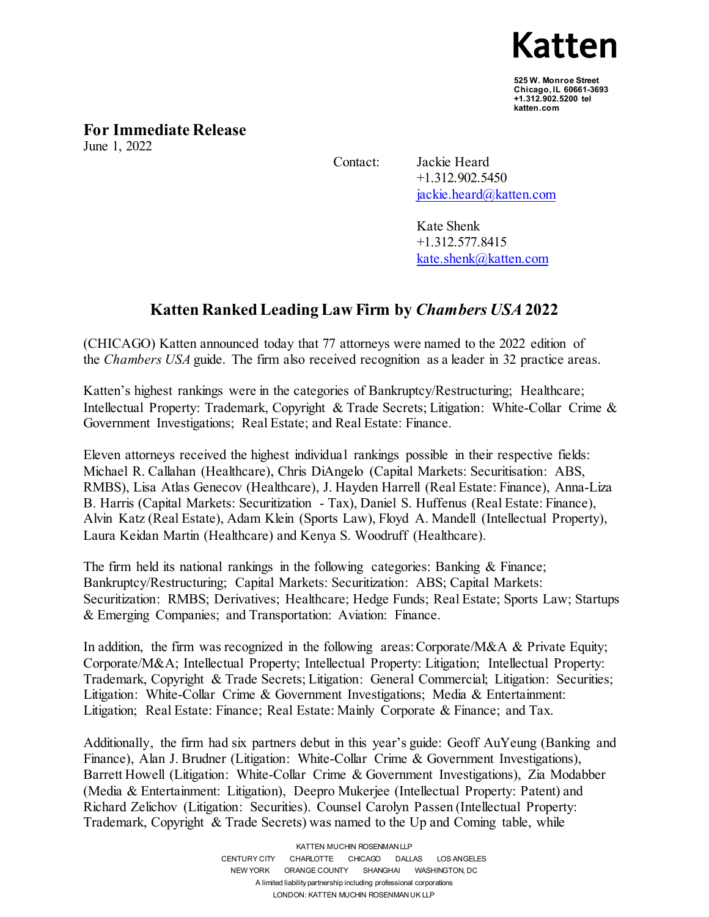Katten

**525 W. Monroe Street Chicago, IL 60661-3693 +1.312.902.5200 tel katten.com..**

**For Immediate Release**

June 1, 2022

 Contact: Jackie Heard +1.312.902.5450 [jackie.heard@katten.com](mailto:jackie.heard@katten.com)

> Kate Shenk +1.312.577.8415 [kate.shenk@katten.com](mailto:kate.shenk@katten.com)

## **Katten Ranked Leading Law Firm by** *Chambers USA* **2022**

(CHICAGO) Katten announced today that 77 attorneys were named to the 2022 edition of the *Chambers USA* guide. The firm also received recognition as a leader in 32 practice areas.

Katten's highest rankings were in the categories of Bankruptcy/Restructuring; Healthcare; Intellectual Property: Trademark, Copyright & Trade Secrets; Litigation: White-Collar Crime & Government Investigations; Real Estate; and Real Estate: Finance.

Eleven attorneys received the highest individual rankings possible in their respective fields: Michael R. Callahan (Healthcare), Chris DiAngelo (Capital Markets: Securitisation: ABS, RMBS), Lisa Atlas Genecov (Healthcare), J. Hayden Harrell (Real Estate: Finance), Anna-Liza B. Harris (Capital Markets: Securitization - Tax), Daniel S. Huffenus (Real Estate: Finance), Alvin Katz (Real Estate), Adam Klein (Sports Law), Floyd A. Mandell (Intellectual Property), Laura Keidan Martin (Healthcare) and Kenya S. Woodruff (Healthcare).

The firm held its national rankings in the following categories: Banking & Finance; Bankruptcy/Restructuring; Capital Markets: Securitization: ABS; Capital Markets: Securitization: RMBS; Derivatives; Healthcare; Hedge Funds; Real Estate; Sports Law; Startups & Emerging Companies; and Transportation: Aviation: Finance.

In addition, the firm was recognized in the following areas: Corporate/M&A & Private Equity; Corporate/M&A; Intellectual Property; Intellectual Property: Litigation; Intellectual Property: Trademark, Copyright & Trade Secrets; Litigation: General Commercial; Litigation: Securities; Litigation: White-Collar Crime & Government Investigations; Media & Entertainment: Litigation; Real Estate: Finance; Real Estate: Mainly Corporate & Finance; and Tax.

Additionally, the firm had six partners debut in this year's guide: Geoff AuYeung (Banking and Finance), Alan J. Brudner (Litigation: White-Collar Crime & Government Investigations), Barrett Howell (Litigation: White-Collar Crime & Government Investigations), Zia Modabber (Media & Entertainment: Litigation), Deepro Mukerjee (Intellectual Property: Patent) and Richard Zelichov (Litigation: Securities). Counsel Carolyn Passen (Intellectual Property: Trademark, Copyright & Trade Secrets) was named to the Up and Coming table, while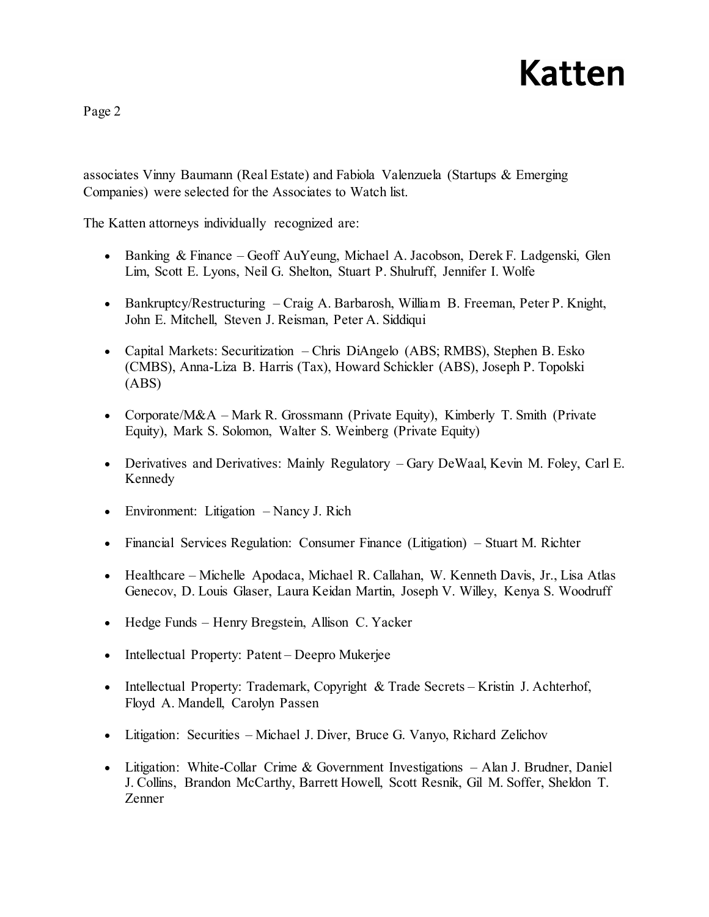## Katten

Page 2

associates Vinny Baumann (Real Estate) and Fabiola Valenzuela (Startups & Emerging Companies) were selected for the Associates to Watch list.

The Katten attorneys individually recognized are:

- Banking & Finance Geoff AuYeung, Michael A. Jacobson, Derek F. Ladgenski, Glen Lim, Scott E. Lyons, Neil G. Shelton, Stuart P. Shulruff, Jennifer I. Wolfe
- Bankruptcy/Restructuring Craig A. Barbarosh, William B. Freeman, Peter P. Knight, John E. Mitchell, Steven J. Reisman, Peter A. Siddiqui
- Capital Markets: Securitization Chris DiAngelo (ABS; RMBS), Stephen B. Esko (CMBS), Anna-Liza B. Harris (Tax), Howard Schickler (ABS), Joseph P. Topolski (ABS)
- Corporate/M&A Mark R. Grossmann (Private Equity), Kimberly T. Smith (Private Equity), Mark S. Solomon, Walter S. Weinberg (Private Equity)
- Derivatives and Derivatives: Mainly Regulatory Gary DeWaal, Kevin M. Foley, Carl E. Kennedy
- Environment: Litigation Nancy J. Rich
- Financial Services Regulation: Consumer Finance (Litigation) Stuart M. Richter
- Healthcare Michelle Apodaca, Michael R. Callahan, W. Kenneth Davis, Jr., Lisa Atlas Genecov, D. Louis Glaser, Laura Keidan Martin, Joseph V. Willey, Kenya S. Woodruff
- Hedge Funds Henry Bregstein, Allison C. Yacker
- Intellectual Property: Patent Deepro Mukerjee
- Intellectual Property: Trademark, Copyright & Trade Secrets Kristin J. Achterhof, Floyd A. Mandell, Carolyn Passen
- Litigation: Securities Michael J. Diver, Bruce G. Vanyo, Richard Zelichov
- Litigation: White-Collar Crime & Government Investigations Alan J. Brudner, Daniel J. Collins, Brandon McCarthy, Barrett Howell, Scott Resnik, Gil M. Soffer, Sheldon T. Zenner